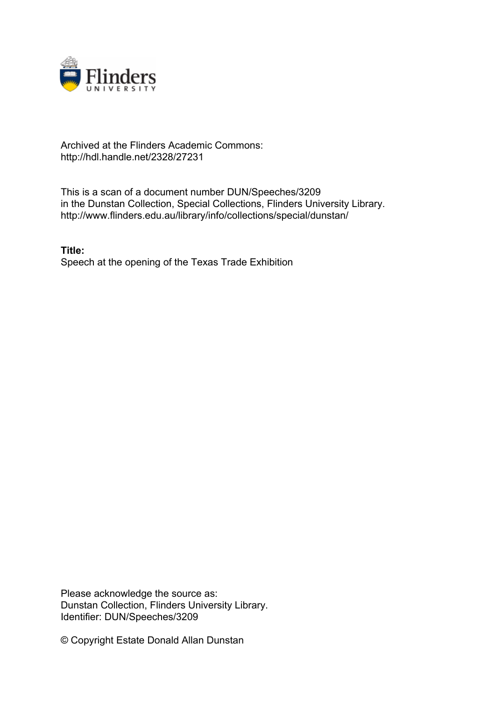

## Archived at the Flinders Academic Commons: http://hdl.handle.net/2328/27231

This is a scan of a document number DUN/Speeches/3209 in the Dunstan Collection, Special Collections, Flinders University Library. http://www.flinders.edu.au/library/info/collections/special/dunstan/

**Title:** Speech at the opening of the Texas Trade Exhibition

Please acknowledge the source as: Dunstan Collection, Flinders University Library. Identifier: DUN/Speeches/3209

© Copyright Estate Donald Allan Dunstan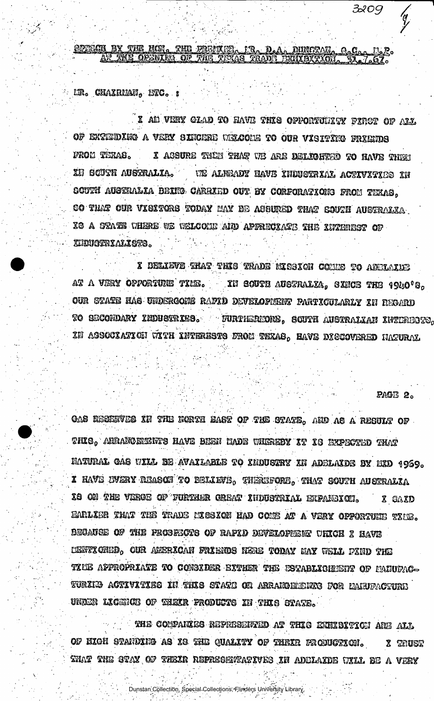OLTECH BY THE HOL. THE UNEUTROP PROFILE AR. D.A. **JUNCTAN** 

LTR. CHAXRMAN, ETC. :

I AN VERY GLAD TO HAVE THIS OPPORTUILTY PIRCT OF ALL OF EXTEMPING A VERY SINCERE WHOCHE TO OUR VISITING FRIENDS FROM TERAS. I ACSURE THIE THAT WE ARE DELIGHTED TO HAVE THEM IN GOUTH AUSTRALIA. UE ALHEADY HAVE INDUSTRIAL ACTIVITIES IN GOUTH AUSTRALIA BEING CARRIED OUT BY CORFORATIONS FROM TEXAS, so that our visitors today may be assured that south australia IG A STATE WHERE WE WELCOME AND APPRECIATE THE INTEREST OF KIRUCKRIALISTS.

X DELIEVE THAT THIS TRADE MISSION COMES TO ADELAIDE at a very opportune time. In south australia, sisce the 1940's, OUR STATE HAS UNDERGONE RAPID DEVELOPIENT PARTICULARLY IN REGARD TO SECONDARY INDUSTRIES. FURTHEREORE, SOUTH AUSTRALIAN INTERESTS, XX ASSOCXATICH WITH INTERESTS FROM TEXAS, HAVE DISCOVERED HATURAL

PAGE 2.

3209

GAS RESERVES IN THE FORTH EAST OF THE STATE, AND AS A RESULT OF THIS, ANRANGEMENTS HAVE BEEN HADE WHEREBY IT IS EXPECTED THAT NATURAL CAS WILL BE AVAILARLE TO INDUCTRY IN ADELAIDE BY NID 1969. **I** have ivery reason to believe, therefore, that south australia IS ON THE VERGE OF FURTHER CREAT INDUSTRIAL EXPANSION. X GAXD EARLIER THAT THE TRADE MISSION HAD COME AT A VERY OPPORTUNE TIME. BECAUGE OF THE PROSECTS OF RAFID DEVELOPEER URICH I HAVE CENTICHED, OUR AMERICAN FRIENDS NERE TODAY MAY WELL PIND THE TICE APPROPRIATE TO CONSIDER EXTHER THE ESTABLICHMENT OF L'ANUPAC-TURIKO ACTIVITISO IN THIS STATE OR ARRAKOMENTO FOR MANUFACTURE UNDER LICENCE OF WHEIR FRODUCTS IN THIS STATE.

THE COMPARIES REPRESENTED AT THIS EXHIBITION ANE ALL OF HIGH STANDING AS IS THE QUALITY OF THEIR FRODUCTION. X TRUST THAT THE GTAY OF THEIR REPRECEVEATIVES IN ADELAIDE UILL BE A VERY

Dunstan Collection, Special Collections, Flinders University Library.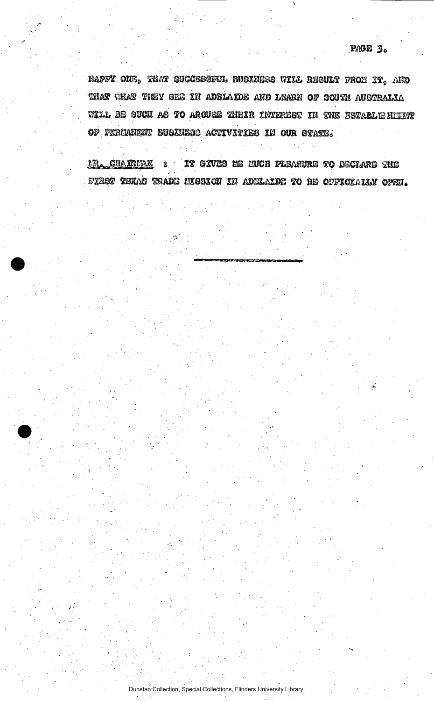HAPFY ONE, THAT SUCCESSFUL BUGINESS WILL RESULT FROM IT, AND THAT WHAT THEY SEE IN ADELAIDE AND LEARN OF SOUTH AUSTRALIA WILL BE SUCH AS TO ARCUSE THEIR INTEREST IN THE ESTABLE HULWY OF FERMANELY BUSINESS ACTIVITIES IN OUR STATE.

<u>MR. CHARRMAN</u> 3 IT GIVES HE MUCH PLEASURE TO DECLARE THE FIRST THMS TRADE LESSION IN ADELAIDE TO BE OFFICIALLY OPEN.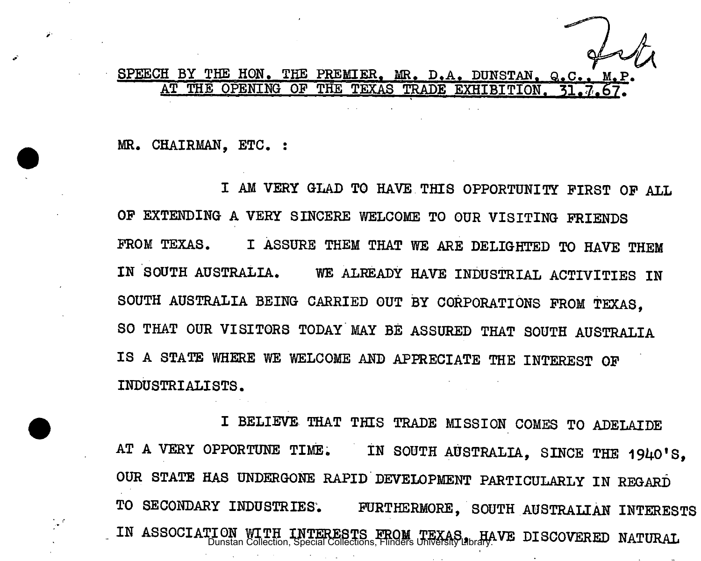## SPEECH BY THE HON. THE PREMIER. MR. D.A. DUNSTAN. Q.C.. AT THE OPENING OF THE TEXAS TRADE EXHIBITION.

MR. CHAIRMAN, ETC. :

I AM VERY GLAD TO HAVE THIS OPPORTUNITY FIRST OF ALL OF EXTENDING A VERY SINCERE WELCOME TO OUR VISITING FRIENDS FROM TEXAS. I ASSURE THEM THAT WE ARE DELIGHTED TO HAVE THEM IN SOUTH AUSTRALIA. WE ALREADY HAVE INDUSTRIAL ACTIVITIES IN SOUTH AUSTRALIA BEING CARRIED OUT BY CORPORATIONS FROM TEXAS, SO THAT OUR VISITORS TODAY MAY BE ASSURED THAT SOUTH AUSTRALIA IS A STATE WHERE WE WELCOME AND APPRECIATE THE INTEREST OF INDUSTRIALISTS.

I BELIEVE. THAT THIS TRADE MISSION COMES TO ADELAIDE AT A VERY OPPORTUNE TIME. IN SOUTH AUSTRALIA, SINCE THE 1940'S, OUR STATE HAS UNDERGONE RAPID DEVELOPMENT PARTICULARLY IN REGARD TO SECONDARY INDUSTRIES. FURTHERMORE, SOUTH AUSTRALIAN INTERESTS IN ASSOCIATION WITH INTERESTS FROM TEXAS HAVE DISCOVERED NATURAL **Dunstan Collection, Special Collections**, Flinders University Library.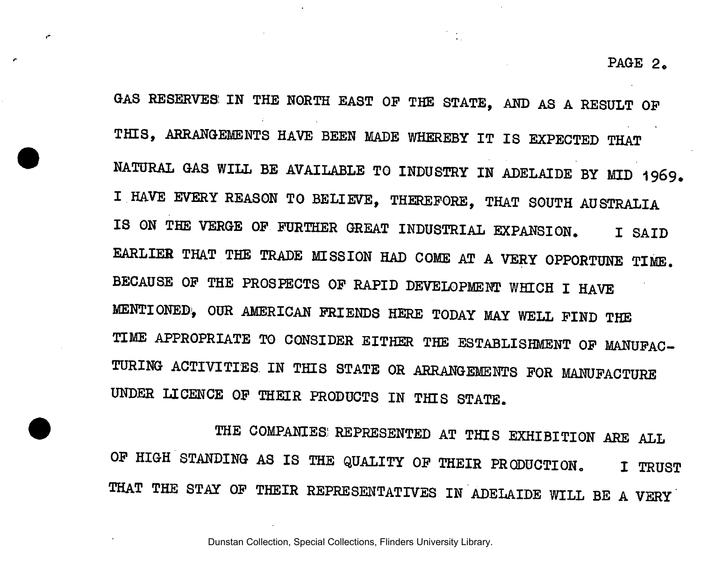GAS RESERVES IN THE NORTH EAST OP THE STATE, AND AS A RESULT OF THIS, ARRANGEMENTS HAVE BEEN MADE WHEREBY IT IS EXPECTED THAT NATURAL GAS WILL BE AVAILABLE TO INDUSTRY IN ADELAIDE BY MID 1969. I HAVE EVERY REASON TO BELIEVE, THEREFORE, THAT SOUTH AUSTRALIA IS ON THE VERGE OF FURTHER GREAT INDUSTRIAL EXPANSION. I SAID EARLIER THAT THE TRADE MISSION HAD COME AT A VERY OPPORTUNE TIME. BECAUSE OF THE PROSPECTS OF RAPID DEVELOPMENT WHICH I HAVE MENTIONED, OUR AMERICAN FRIENDS HERE TODAY MAY WELL FIND THE TIME APPROPRIATE TO CONSIDER EITHER THE ESTABLISHMENT OF MANUFAC-TURING ACTIVITIES IN THIS STATE OR ARRANGEMENTS FOR MANUFACTURE UNDER LICENCE OF THEIR PRODUCTS IN THIS STATE.

THE COMPANIES; REPRESENTED AT THIS EXHIBITION ARE ALL OF HIGH STANDING AS IS THE QUALITY OF THEIR PRODUCTION. I TRUST THAT THE STAY OF THEIR REPRESENTATIVES IN ADELAIDE WILL BE A VERY